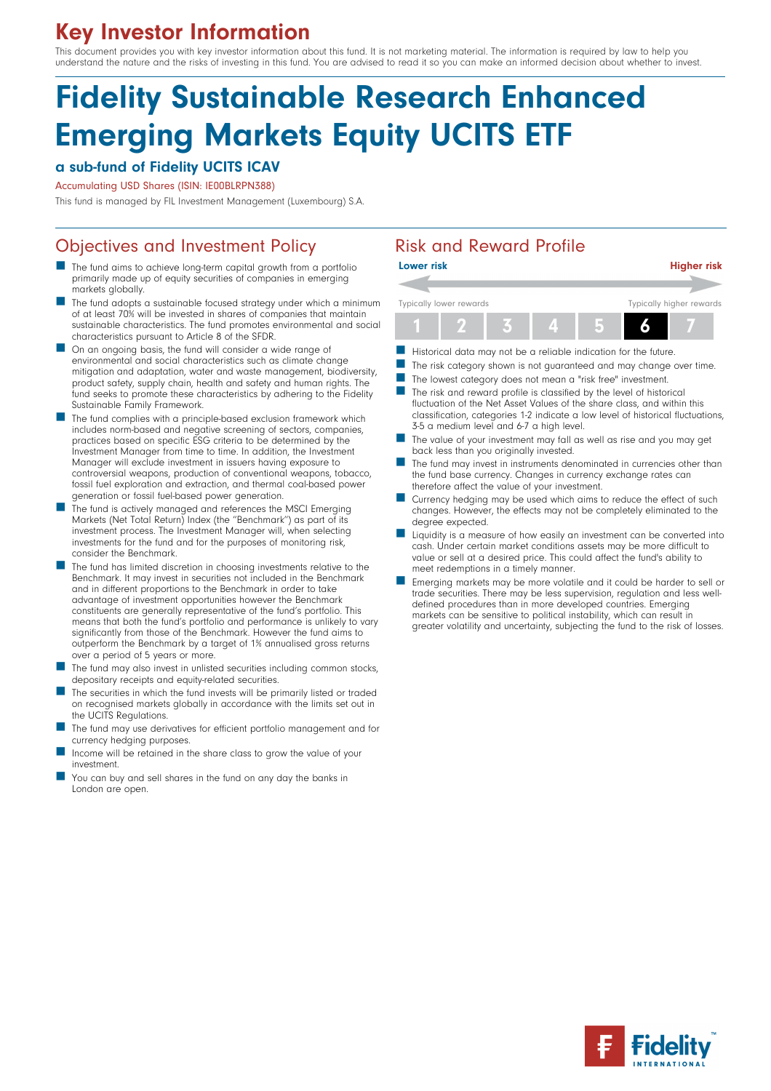# Key Investor Information

This document provides you with key investor information about this fund. It is not marketing material. The information is required by law to help you understand the nature and the risks of investing in this fund. You are advised to read it so you can make an informed decision about whether to invest.

# Fidelity Sustainable Research Enhanced Emerging Markets Equity UCITS ETF

### a sub-fund of Fidelity UCITS ICAV

Accumulating USD Shares (ISIN: IE00BLRPN388)

This fund is managed by FIL Investment Management (Luxembourg) S.A.

# Objectives and Investment Policy **Risk and Reward Profile**

- The fund aims to achieve long-term capital growth from a portfolio primarily made up of equity securities of companies in emerging markets globally.
- The fund adopts a sustainable focused strategy under which a minimum of at least 70% will be invested in shares of companies that maintain sustainable characteristics. The fund promotes environmental and social characteristics pursuant to Article 8 of the SFDR.
- **n** On an ongoing basis, the fund will consider a wide range of environmental and social characteristics such as climate change mitigation and adaptation, water and waste management, biodiversity, product safety, supply chain, health and safety and human rights. The fund seeks to promote these characteristics by adhering to the Fidelity Sustainable Family Framework.
- The fund complies with a principle-based exclusion framework which includes norm-based and negative screening of sectors, companies, practices based on specific ESG criteria to be determined by the Investment Manager from time to time. In addition, the Investment Manager will exclude investment in issuers having exposure to controversial weapons, production of conventional weapons, tobacco, fossil fuel exploration and extraction, and thermal coal-based power generation or fossil fuel-based power generation.
- The fund is actively managed and references the MSCI Emerging Markets (Net Total Return) Index (the "Benchmark") as part of its investment process. The Investment Manager will, when selecting investments for the fund and for the purposes of monitoring risk, consider the Benchmark.
- The fund has limited discretion in choosing investments relative to the Benchmark. It may invest in securities not included in the Benchmark and in different proportions to the Benchmark in order to take advantage of investment opportunities however the Benchmark constituents are generally representative of the fund's portfolio. This means that both the fund's portfolio and performance is unlikely to vary significantly from those of the Benchmark. However the fund aims to outperform the Benchmark by a target of 1% annualised gross returns over a period of 5 years or more.
- The fund may also invest in unlisted securities including common stocks, depositary receipts and equity-related securities.
- The securities in which the fund invests will be primarily listed or traded on recognised markets globally in accordance with the limits set out in the UCITS Regulations.
- The fund may use derivatives for efficient portfolio management and for currency hedging purposes.
- Income will be retained in the share class to grow the value of your investment.
- You can buy and sell shares in the fund on any day the banks in London are open.



- Historical data may not be a reliable indication for the future.
- The risk category shown is not guaranteed and may change over time.
- The lowest category does not mean a "risk free" investment.
- $\blacksquare$  The risk and reward profile is classified by the level of historical fluctuation of the Net Asset Values of the share class, and within this classification, categories 1-2 indicate a low level of historical fluctuations, 3-5 a medium level and 6-7 a high level.
- The value of your investment may fall as well as rise and you may get back less than you originally invested.
- The fund may invest in instruments denominated in currencies other than the fund base currency. Changes in currency exchange rates can therefore affect the value of your investment.
- Currency hedging may be used which aims to reduce the effect of such changes. However, the effects may not be completely eliminated to the degree expected.
- n Liquidity is a measure of how easily an investment can be converted into cash. Under certain market conditions assets may be more difficult to value or sell at a desired price. This could affect the fund's ability to meet redemptions in a timely manner.
- n Emerging markets may be more volatile and it could be harder to sell or trade securities. There may be less supervision, regulation and less welldefined procedures than in more developed countries. Emerging markets can be sensitive to political instability, which can result in greater volatility and uncertainty, subjecting the fund to the risk of losses.